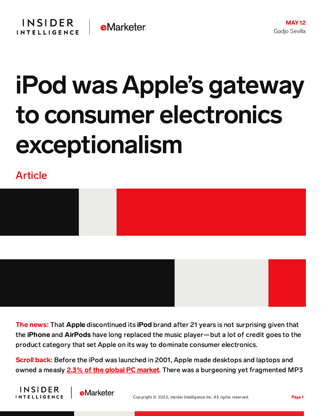

## iPod was Apple's gateway to consumer electronics exceptionalism

Article

**INSIDER** 

**INTELLIGENCE** 

**e**Marketer





The news: That Apple discontinued its iPod brand after 21 years is not surprising given that the iPhone and AirPods have long replaced the music player—but a lot of credit goes to the product category that set Apple on its way to dominate consumer electronics.

**Scroll back:** Before the iPod was launched in 2001, Apple made desktops and laptops and owned a measly **2.3% of the global PC [market](https://lowendmac.com/2003/apple-has-always-been-a-niche-player/)**. There was a burgeoning yet fragmented MP3

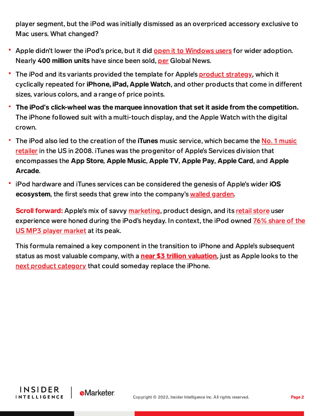player segment, but the iPod was initially dismissed as an overpriced accessory exclusive to Mac users. What changed?

- **Apple didn't lower the iPod's price, but it did open it to [Windows](https://9to5mac.com/2022/05/04/tony-fadell-talks-about-steve-jobs-controversial-decisions-on-ipod-and-iphone-development/) users for wider adoption.** Nearly 400 million units have since been sold, [per](https://globalnews.ca/news/8331755/ipod-anniversary/) Global News.
- The iPod and its variants provided the template for Apple's **product strategy**, which it cyclically repeated for iPhone, iPad, Apple Watch, and other products that come in different sizes, various colors, and a range of price points.
- The iPod**'**s click-wheel was the marquee innovation that set it aside from the competition. The iPhone followed suit with a multi-touch display, and the Apple Watch with the digital crown.
- The iPod also led to the creation of the iTunes music service, which became the No. 1 music retailer in the US in 2008. iTunes was the [progenitor](https://www.apple.com/newsroom/2008/04/03iTunes-Store-Top-Music-Retailer-in-the-US/) of Apple's Services division that encompasses the App Store, Apple Music, Apple TV, Apple Pay, Apple Card, and Apple Arcade.
- iPod hardware and iTunes services can be considered the genesis of Apple's wider iOS ecosystem, the first seeds that grew into the company's walled [garden.](https://slate.com/technology/2021/06/apple-wwdc-ios15-new-features-walled-garden.html)

**Scroll forward:** Apple's mix of savvy [marketing,](https://content-na2.emarketer.com/how-services-became-apple-s-fastest-growing-revenue-category) product design, and its retail [store](https://chart-na2.emarketer.com/255597/top-10-retail-sites-ranked-by-us-desktop-vs-mobile-unique-visitors-oct-2021-dec-2021) user [experience](https://www.ilounge.com/index.php/news/comments/ipod-maintains-756-share-of-us-digital-music-player-market) were honed during the iPod's heyday. In context, the iPod owned 76% share of the US MP3 player market at its peak.

This formula remained a key component in the transition to iPhone and Apple's subsequent status as most valuable company, with a **near \$3 trillion [valuation](https://www.reuters.com/markets/europe/apple-gets-closer-3-trillion-market-value-2022-01-03/)**, just as Apple looks to the next product [category](https://content-na2.emarketer.com/apple-s-long-rumored-ar-headset-slated-2022-kicking-off-10-year-plan-replace-iphones) that could someday replace the iPhone.